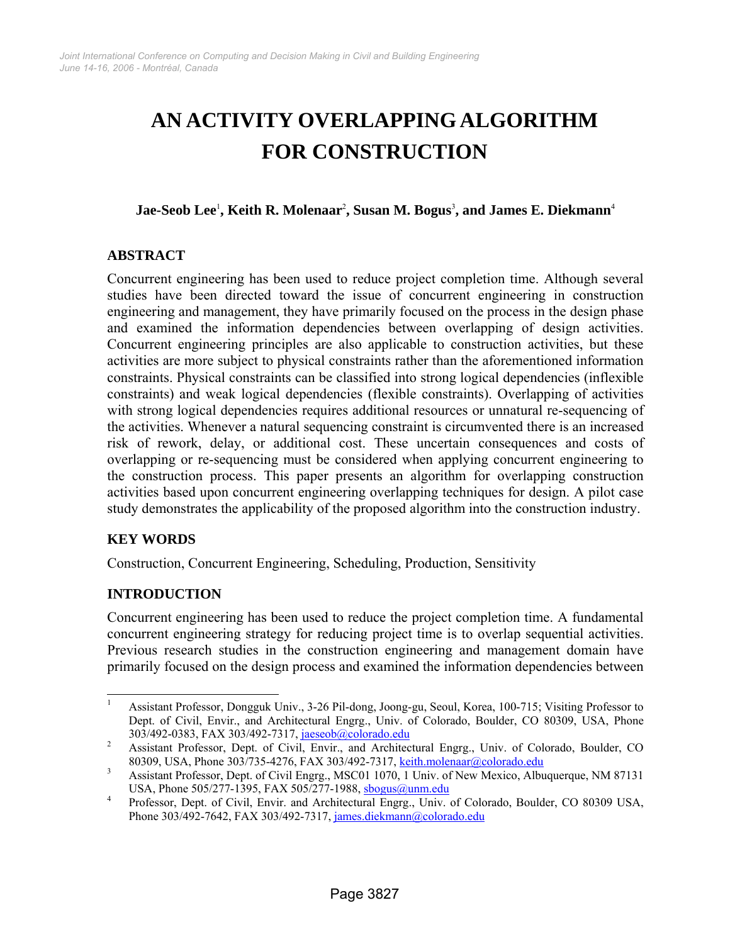# **AN ACTIVITY OVERLAPPING ALGORITHM FOR CONSTRUCTION**

**Jae-Seob Lee**<sup>1</sup> **, Keith R. Molenaar**<sup>2</sup> **, Susan M. Bogus**<sup>3</sup> **, and James E. Diekmann**<sup>4</sup>

# **ABSTRACT**

Concurrent engineering has been used to reduce project completion time. Although several studies have been directed toward the issue of concurrent engineering in construction engineering and management, they have primarily focused on the process in the design phase and examined the information dependencies between overlapping of design activities. Concurrent engineering principles are also applicable to construction activities, but these activities are more subject to physical constraints rather than the aforementioned information constraints. Physical constraints can be classified into strong logical dependencies (inflexible constraints) and weak logical dependencies (flexible constraints). Overlapping of activities with strong logical dependencies requires additional resources or unnatural re-sequencing of the activities. Whenever a natural sequencing constraint is circumvented there is an increased risk of rework, delay, or additional cost. These uncertain consequences and costs of overlapping or re-sequencing must be considered when applying concurrent engineering to the construction process. This paper presents an algorithm for overlapping construction activities based upon concurrent engineering overlapping techniques for design. A pilot case study demonstrates the applicability of the proposed algorithm into the construction industry.

# **KEY WORDS**

Construction, Concurrent Engineering, Scheduling, Production, Sensitivity

# **INTRODUCTION**

Concurrent engineering has been used to reduce the project completion time. A fundamental concurrent engineering strategy for reducing project time is to overlap sequential activities. Previous research studies in the construction engineering and management domain have primarily focused on the design process and examined the information dependencies between

 1 Assistant Professor, Dongguk Univ., 3-26 Pil-dong, Joong-gu, Seoul, Korea, 100-715; Visiting Professor to Dept. of Civil, Envir., and Architectural Engrg., Univ. of Colorado, Boulder, CO 80309, USA, Phone 303/492-0383, FAX 303/492-7317, jaeseob@colorado.edu <sup>2</sup>

Assistant Professor, Dept. of Civil, Envir., and Architectural Engrg., Univ. of Colorado, Boulder, CO 80309, USA, Phone 303/735-4276, FAX 303/492-7317, keith.molenaar@colorado.edu 3<br>3 Agrichart Pracasca Dant of Civil Engage MSC01.1070, 1 Universal Naviga Albu

Assistant Professor, Dept. of Civil Engrg., MSC01 1070, 1 Univ. of New Mexico, Albuquerque, NM 87131 USA, Phone 505/277-1395, FAX 505/277-1988, sbogus@unm.edu

Professor, Dept. of Civil, Envir. and Architectural Engrg., Univ. of Colorado, Boulder, CO 80309 USA, Phone 303/492-7642, FAX 303/492-7317, james.diekmann@colorado.edu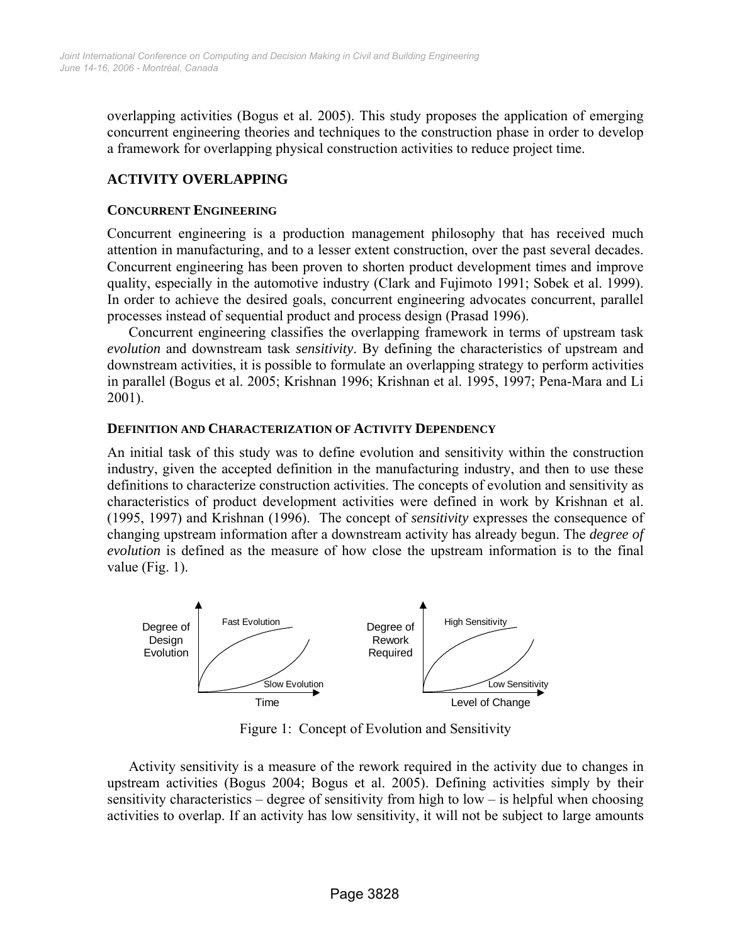overlapping activities (Bogus et al. 2005). This study proposes the application of emerging concurrent engineering theories and techniques to the construction phase in order to develop a framework for overlapping physical construction activities to reduce project time.

# **ACTIVITY OVERLAPPING**

## **CONCURRENT ENGINEERING**

Concurrent engineering is a production management philosophy that has received much attention in manufacturing, and to a lesser extent construction, over the past several decades. Concurrent engineering has been proven to shorten product development times and improve quality, especially in the automotive industry (Clark and Fujimoto 1991; Sobek et al. 1999). In order to achieve the desired goals, concurrent engineering advocates concurrent, parallel processes instead of sequential product and process design (Prasad 1996).

Concurrent engineering classifies the overlapping framework in terms of upstream task *evolution* and downstream task *sensitivity*. By defining the characteristics of upstream and downstream activities, it is possible to formulate an overlapping strategy to perform activities in parallel (Bogus et al. 2005; Krishnan 1996; Krishnan et al. 1995, 1997; Pena-Mara and Li 2001).

## **DEFINITION AND CHARACTERIZATION OF ACTIVITY DEPENDENCY**

An initial task of this study was to define evolution and sensitivity within the construction industry, given the accepted definition in the manufacturing industry, and then to use these definitions to characterize construction activities. The concepts of evolution and sensitivity as characteristics of product development activities were defined in work by Krishnan et al. (1995, 1997) and Krishnan (1996). The concept of *sensitivity* expresses the consequence of changing upstream information after a downstream activity has already begun. The *degree of evolution* is defined as the measure of how close the upstream information is to the final value (Fig. 1).



Figure 1: Concept of Evolution and Sensitivity

Activity sensitivity is a measure of the rework required in the activity due to changes in upstream activities (Bogus 2004; Bogus et al. 2005). Defining activities simply by their sensitivity characteristics – degree of sensitivity from high to low – is helpful when choosing activities to overlap. If an activity has low sensitivity, it will not be subject to large amounts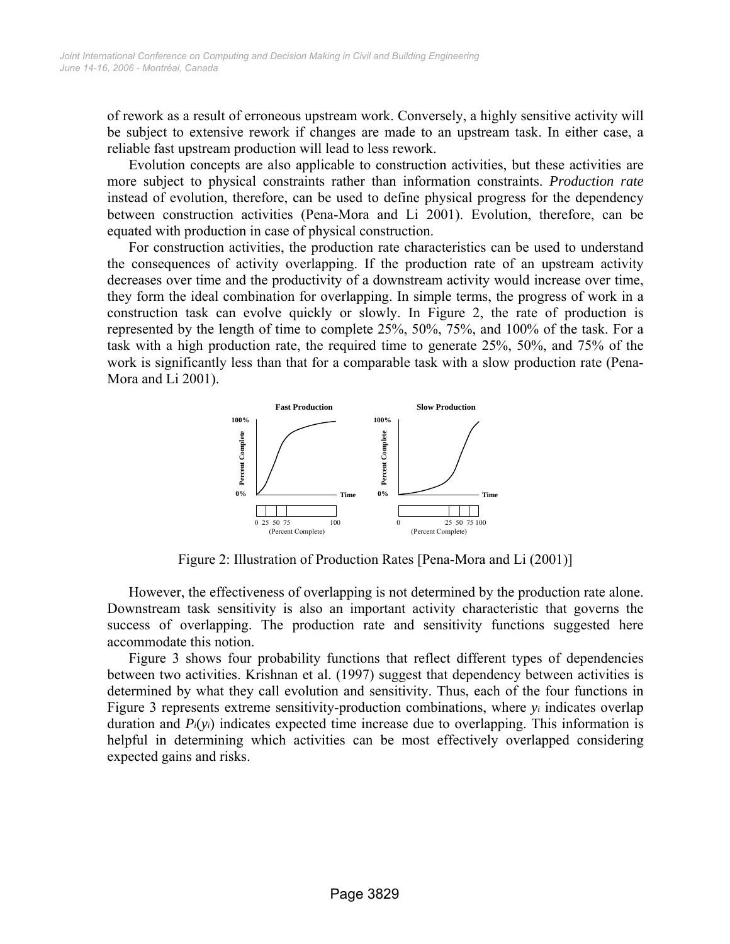of rework as a result of erroneous upstream work. Conversely, a highly sensitive activity will be subject to extensive rework if changes are made to an upstream task. In either case, a reliable fast upstream production will lead to less rework.

Evolution concepts are also applicable to construction activities, but these activities are more subject to physical constraints rather than information constraints. *Production rate* instead of evolution, therefore, can be used to define physical progress for the dependency between construction activities (Pena-Mora and Li 2001). Evolution, therefore, can be equated with production in case of physical construction.

For construction activities, the production rate characteristics can be used to understand the consequences of activity overlapping. If the production rate of an upstream activity decreases over time and the productivity of a downstream activity would increase over time, they form the ideal combination for overlapping. In simple terms, the progress of work in a construction task can evolve quickly or slowly. In Figure 2, the rate of production is represented by the length of time to complete 25%, 50%, 75%, and 100% of the task. For a task with a high production rate, the required time to generate 25%, 50%, and 75% of the work is significantly less than that for a comparable task with a slow production rate (Pena-Mora and Li 2001).



Figure 2: Illustration of Production Rates [Pena-Mora and Li (2001)]

However, the effectiveness of overlapping is not determined by the production rate alone. Downstream task sensitivity is also an important activity characteristic that governs the success of overlapping. The production rate and sensitivity functions suggested here accommodate this notion.

Figure 3 shows four probability functions that reflect different types of dependencies between two activities. Krishnan et al. (1997) suggest that dependency between activities is determined by what they call evolution and sensitivity. Thus, each of the four functions in Figure 3 represents extreme sensitivity-production combinations, where *yi* indicates overlap duration and *Pi*(*yi*) indicates expected time increase due to overlapping. This information is helpful in determining which activities can be most effectively overlapped considering expected gains and risks.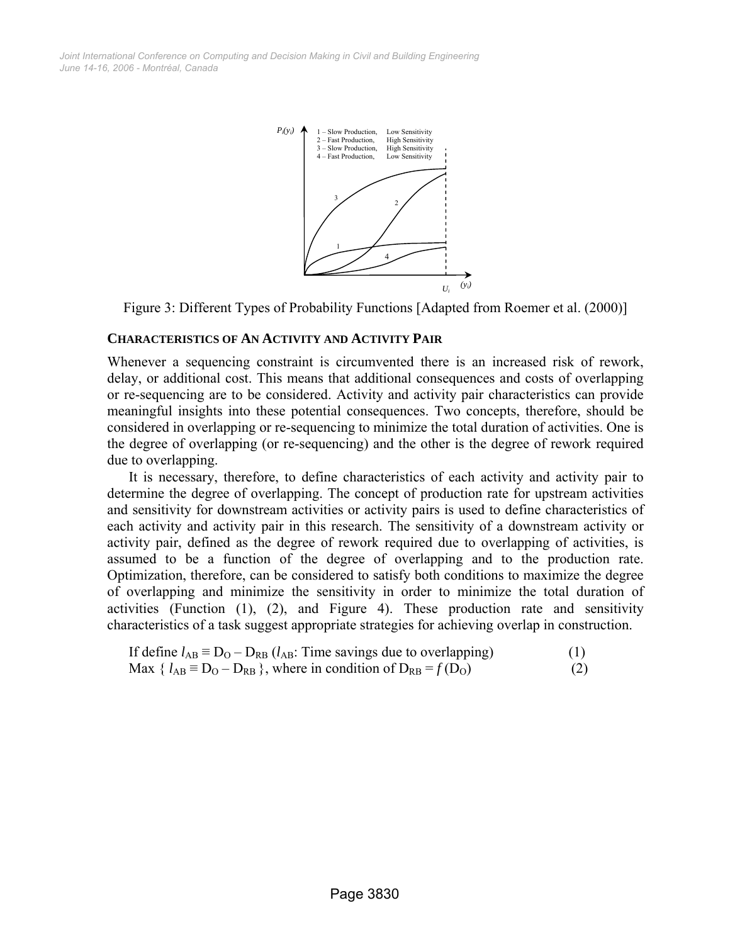

Figure 3: Different Types of Probability Functions [Adapted from Roemer et al. (2000)]

#### **CHARACTERISTICS OF AN ACTIVITY AND ACTIVITY PAIR**

Whenever a sequencing constraint is circumvented there is an increased risk of rework, delay, or additional cost. This means that additional consequences and costs of overlapping or re-sequencing are to be considered. Activity and activity pair characteristics can provide meaningful insights into these potential consequences. Two concepts, therefore, should be considered in overlapping or re-sequencing to minimize the total duration of activities. One is the degree of overlapping (or re-sequencing) and the other is the degree of rework required due to overlapping.

It is necessary, therefore, to define characteristics of each activity and activity pair to determine the degree of overlapping. The concept of production rate for upstream activities and sensitivity for downstream activities or activity pairs is used to define characteristics of each activity and activity pair in this research. The sensitivity of a downstream activity or activity pair, defined as the degree of rework required due to overlapping of activities, is assumed to be a function of the degree of overlapping and to the production rate. Optimization, therefore, can be considered to satisfy both conditions to maximize the degree of overlapping and minimize the sensitivity in order to minimize the total duration of activities (Function (1), (2), and Figure 4). These production rate and sensitivity characteristics of a task suggest appropriate strategies for achieving overlap in construction.

If define 
$$
l_{AB} \equiv D_O - D_{RB} (l_{AB}
$$
: Time savings due to overlapping)  
Max {  $l_{AB} \equiv D_O - D_{RB}$  }, where in condition of  $D_{RB} = f(D_O)$  (2)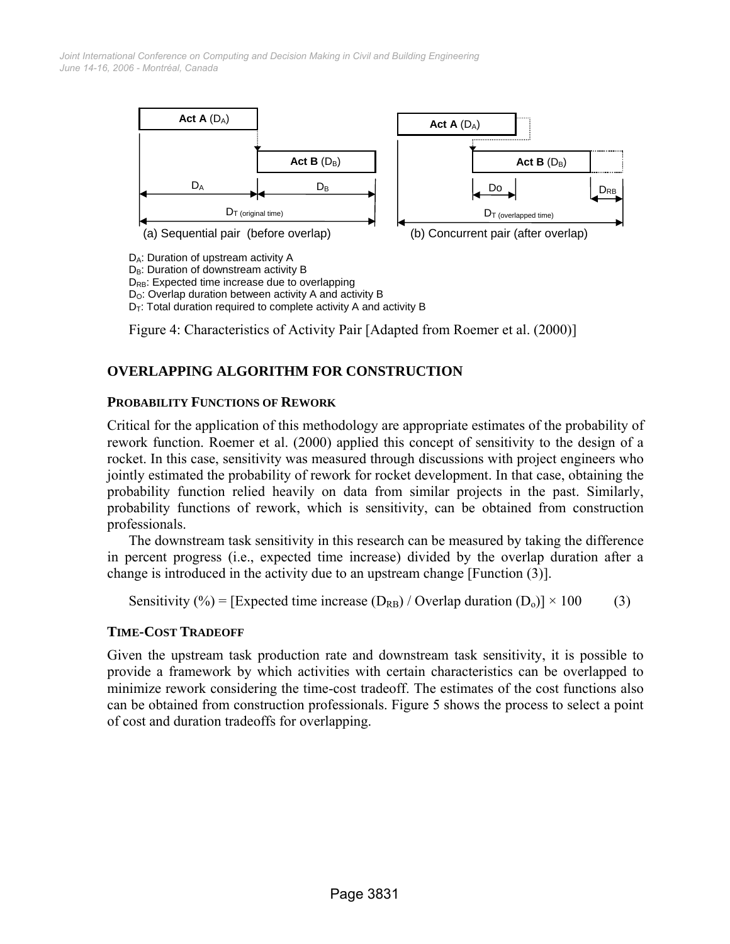

D<sub>B</sub>: Duration of downstream activity B D<sub>RB</sub>: Expected time increase due to overlapping

D<sub>O</sub>: Overlap duration between activity A and activity B

 $D_T$ : Total duration required to complete activity A and activity B

Figure 4: Characteristics of Activity Pair [Adapted from Roemer et al. (2000)]

# **OVERLAPPING ALGORITHM FOR CONSTRUCTION**

#### **PROBABILITY FUNCTIONS OF REWORK**

Critical for the application of this methodology are appropriate estimates of the probability of rework function. Roemer et al. (2000) applied this concept of sensitivity to the design of a rocket. In this case, sensitivity was measured through discussions with project engineers who jointly estimated the probability of rework for rocket development. In that case, obtaining the probability function relied heavily on data from similar projects in the past. Similarly, probability functions of rework, which is sensitivity, can be obtained from construction professionals.

The downstream task sensitivity in this research can be measured by taking the difference in percent progress (i.e., expected time increase) divided by the overlap duration after a change is introduced in the activity due to an upstream change [Function (3)].

Sensitivity (%) = [Expected time increase ( $D_{RB}$ ) / Overlap duration ( $D_o$ )] × 100 (3)

## **TIME-COST TRADEOFF**

Given the upstream task production rate and downstream task sensitivity, it is possible to provide a framework by which activities with certain characteristics can be overlapped to minimize rework considering the time-cost tradeoff. The estimates of the cost functions also can be obtained from construction professionals. Figure 5 shows the process to select a point of cost and duration tradeoffs for overlapping.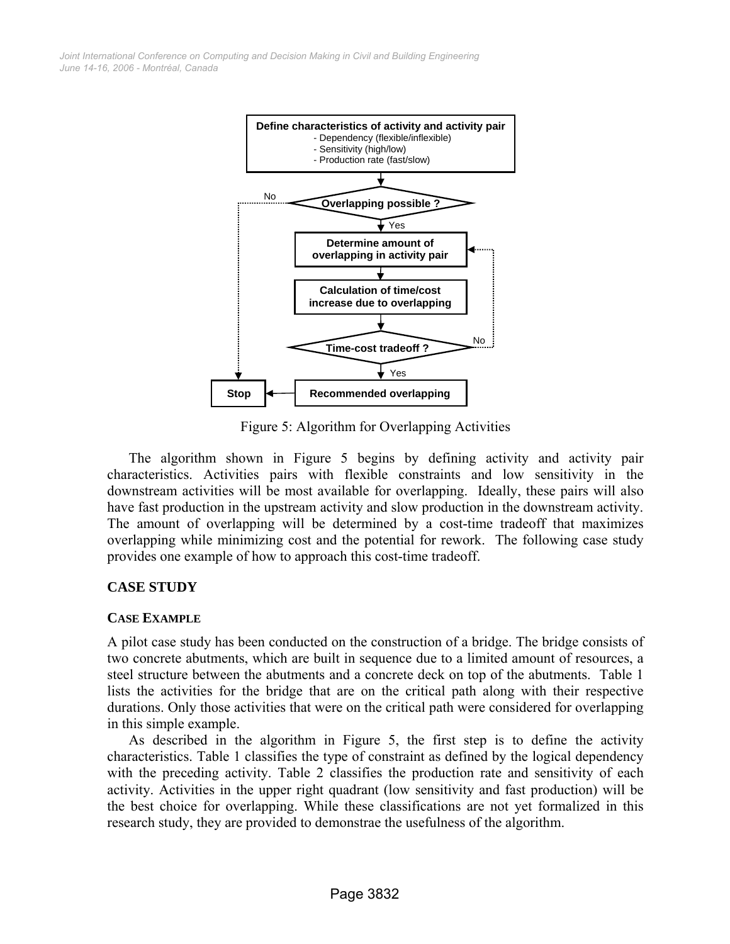

Figure 5: Algorithm for Overlapping Activities

The algorithm shown in Figure 5 begins by defining activity and activity pair characteristics. Activities pairs with flexible constraints and low sensitivity in the downstream activities will be most available for overlapping. Ideally, these pairs will also have fast production in the upstream activity and slow production in the downstream activity. The amount of overlapping will be determined by a cost-time tradeoff that maximizes overlapping while minimizing cost and the potential for rework. The following case study provides one example of how to approach this cost-time tradeoff.

# **CASE STUDY**

## **CASE EXAMPLE**

A pilot case study has been conducted on the construction of a bridge. The bridge consists of two concrete abutments, which are built in sequence due to a limited amount of resources, a steel structure between the abutments and a concrete deck on top of the abutments. Table 1 lists the activities for the bridge that are on the critical path along with their respective durations. Only those activities that were on the critical path were considered for overlapping in this simple example.

As described in the algorithm in Figure 5, the first step is to define the activity characteristics. Table 1 classifies the type of constraint as defined by the logical dependency with the preceding activity. Table 2 classifies the production rate and sensitivity of each activity. Activities in the upper right quadrant (low sensitivity and fast production) will be the best choice for overlapping. While these classifications are not yet formalized in this research study, they are provided to demonstrae the usefulness of the algorithm.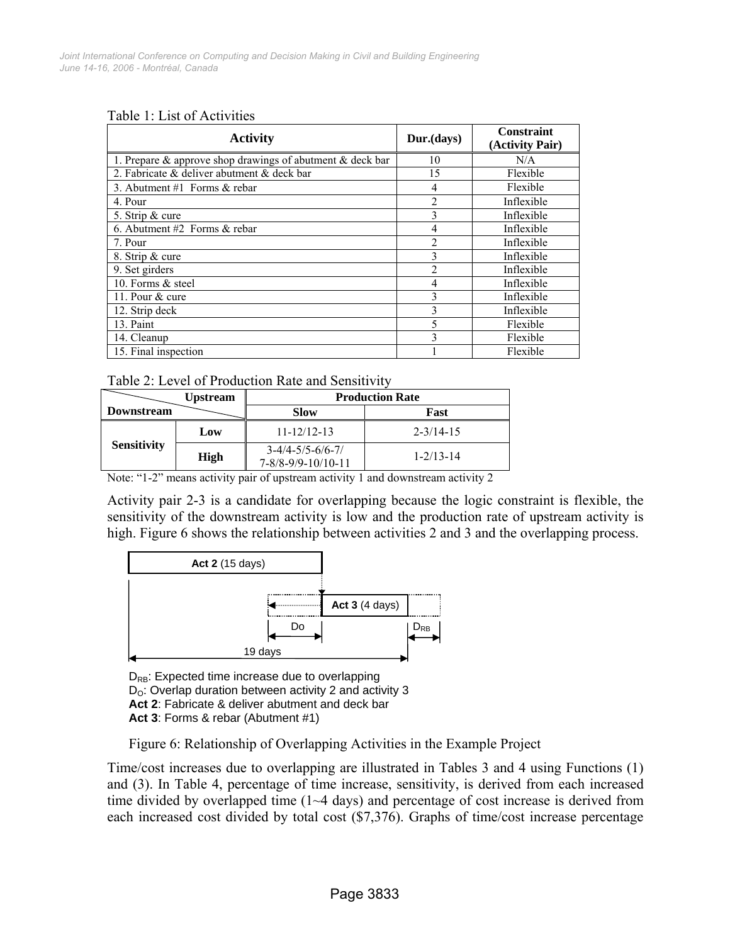|  |  |  |  | Table 1: List of Activities |
|--|--|--|--|-----------------------------|
|--|--|--|--|-----------------------------|

| <b>Activity</b>                                                 | Dur.(days)     | Constraint<br>(Activity Pair) |
|-----------------------------------------------------------------|----------------|-------------------------------|
| 1. Prepare $\&$ approve shop drawings of abutment $\&$ deck bar | 10             | N/A                           |
| 2. Fabricate & deliver abutment & deck bar                      | 15             | Flexible                      |
| 3. Abutment $#1$ Forms & rebar                                  | 4              | Flexible                      |
| 4. Pour                                                         | 2              | Inflexible                    |
| 5. Strip & cure                                                 | 3              | Inflexible                    |
| 6. Abutment #2 Forms $&$ rebar                                  | 4              | Inflexible                    |
| 7. Pour                                                         | $\overline{2}$ | Inflexible                    |
| 8. Strip & cure                                                 | 3              | Inflexible                    |
| 9. Set girders                                                  | $\mathfrak{D}$ | Inflexible                    |
| 10. Forms & steel                                               | 4              | Inflexible                    |
| 11. Pour & cure                                                 | 3              | Inflexible                    |
| 12. Strip deck                                                  | 3              | Inflexible                    |
| 13. Paint                                                       | 5              | Flexible                      |
| 14. Cleanup                                                     | 3              | Flexible                      |
| 15. Final inspection                                            |                | Flexible                      |

Table 2: Level of Production Rate and Sensitivity

|                    | <b>Upstream</b> | <b>Production Rate</b>                             |                 |  |
|--------------------|-----------------|----------------------------------------------------|-----------------|--|
| <b>Downstream</b>  |                 | <b>Slow</b>                                        | Fast            |  |
| <b>Sensitivity</b> | Low             | $11 - 12/12 - 13$                                  | $2 - 3/14 - 15$ |  |
|                    | High            | $3-4/4-5/5-6/6-7/$<br>$7 - 8/8 - 9/9 - 10/10 - 11$ | $1 - 2/13 - 14$ |  |

Note: "1-2" means activity pair of upstream activity 1 and downstream activity 2

Activity pair 2-3 is a candidate for overlapping because the logic constraint is flexible, the sensitivity of the downstream activity is low and the production rate of upstream activity is high. Figure 6 shows the relationship between activities 2 and 3 and the overlapping process.



D<sub>RB</sub>: Expected time increase due to overlapping  $D<sub>O</sub>$ : Overlap duration between activity 2 and activity 3 **Act 2**: Fabricate & deliver abutment and deck bar **Act 3**: Forms & rebar (Abutment #1)

Figure 6: Relationship of Overlapping Activities in the Example Project

Time/cost increases due to overlapping are illustrated in Tables 3 and 4 using Functions (1) and (3). In Table 4, percentage of time increase, sensitivity, is derived from each increased time divided by overlapped time (1~4 days) and percentage of cost increase is derived from each increased cost divided by total cost (\$7,376). Graphs of time/cost increase percentage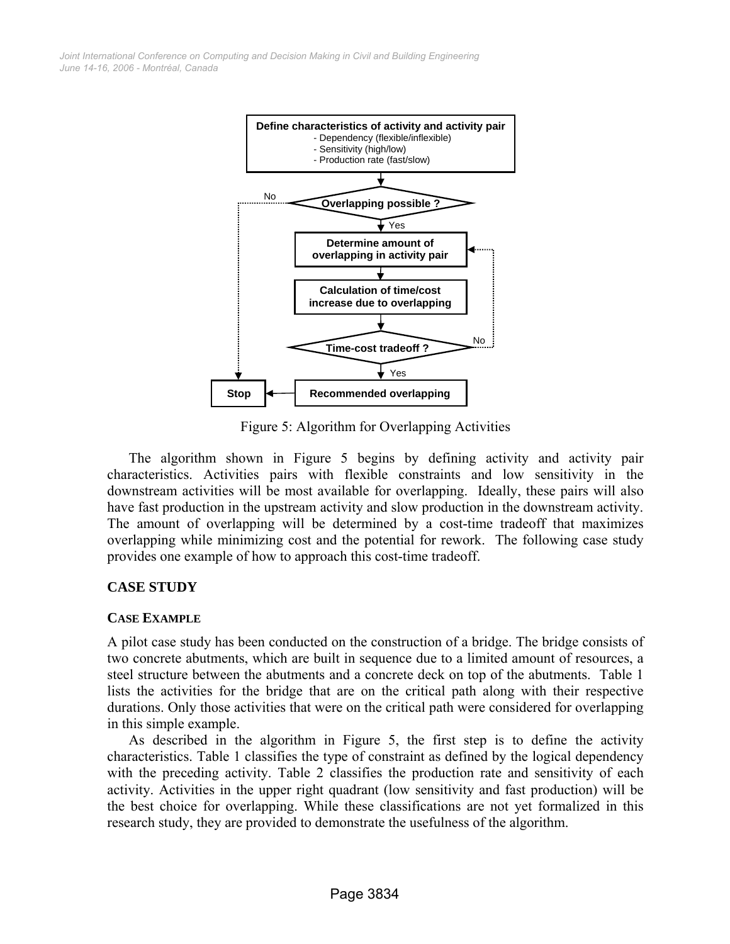

Figure 5: Algorithm for Overlapping Activities

The algorithm shown in Figure 5 begins by defining activity and activity pair characteristics. Activities pairs with flexible constraints and low sensitivity in the downstream activities will be most available for overlapping. Ideally, these pairs will also have fast production in the upstream activity and slow production in the downstream activity. The amount of overlapping will be determined by a cost-time tradeoff that maximizes overlapping while minimizing cost and the potential for rework. The following case study provides one example of how to approach this cost-time tradeoff.

# **CASE STUDY**

## **CASE EXAMPLE**

A pilot case study has been conducted on the construction of a bridge. The bridge consists of two concrete abutments, which are built in sequence due to a limited amount of resources, a steel structure between the abutments and a concrete deck on top of the abutments. Table 1 lists the activities for the bridge that are on the critical path along with their respective durations. Only those activities that were on the critical path were considered for overlapping in this simple example.

As described in the algorithm in Figure 5, the first step is to define the activity characteristics. Table 1 classifies the type of constraint as defined by the logical dependency with the preceding activity. Table 2 classifies the production rate and sensitivity of each activity. Activities in the upper right quadrant (low sensitivity and fast production) will be the best choice for overlapping. While these classifications are not yet formalized in this research study, they are provided to demonstrate the usefulness of the algorithm.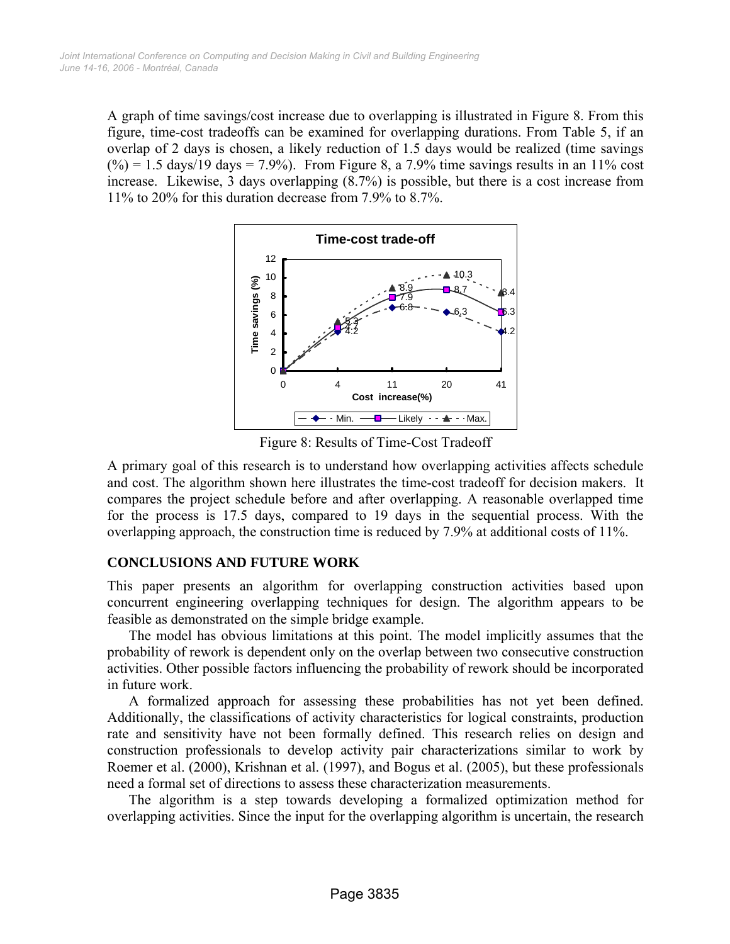A graph of time savings/cost increase due to overlapping is illustrated in Figure 8. From this figure, time-cost tradeoffs can be examined for overlapping durations. From Table 5, if an overlap of 2 days is chosen, a likely reduction of 1.5 days would be realized (time savings  $(\%)=1.5 \text{ days}/19 \text{ days} = 7.9\%$ . From Figure 8, a 7.9% time savings results in an 11% cost increase. Likewise, 3 days overlapping (8.7%) is possible, but there is a cost increase from 11% to 20% for this duration decrease from 7.9% to 8.7%.



Figure 8: Results of Time-Cost Tradeoff

A primary goal of this research is to understand how overlapping activities affects schedule and cost. The algorithm shown here illustrates the time-cost tradeoff for decision makers. It compares the project schedule before and after overlapping. A reasonable overlapped time for the process is 17.5 days, compared to 19 days in the sequential process. With the overlapping approach, the construction time is reduced by 7.9% at additional costs of 11%.

# **CONCLUSIONS AND FUTURE WORK**

This paper presents an algorithm for overlapping construction activities based upon concurrent engineering overlapping techniques for design. The algorithm appears to be feasible as demonstrated on the simple bridge example.

The model has obvious limitations at this point. The model implicitly assumes that the probability of rework is dependent only on the overlap between two consecutive construction activities. Other possible factors influencing the probability of rework should be incorporated in future work.

A formalized approach for assessing these probabilities has not yet been defined. Additionally, the classifications of activity characteristics for logical constraints, production rate and sensitivity have not been formally defined. This research relies on design and construction professionals to develop activity pair characterizations similar to work by Roemer et al. (2000), Krishnan et al. (1997), and Bogus et al. (2005), but these professionals need a formal set of directions to assess these characterization measurements.

The algorithm is a step towards developing a formalized optimization method for overlapping activities. Since the input for the overlapping algorithm is uncertain, the research